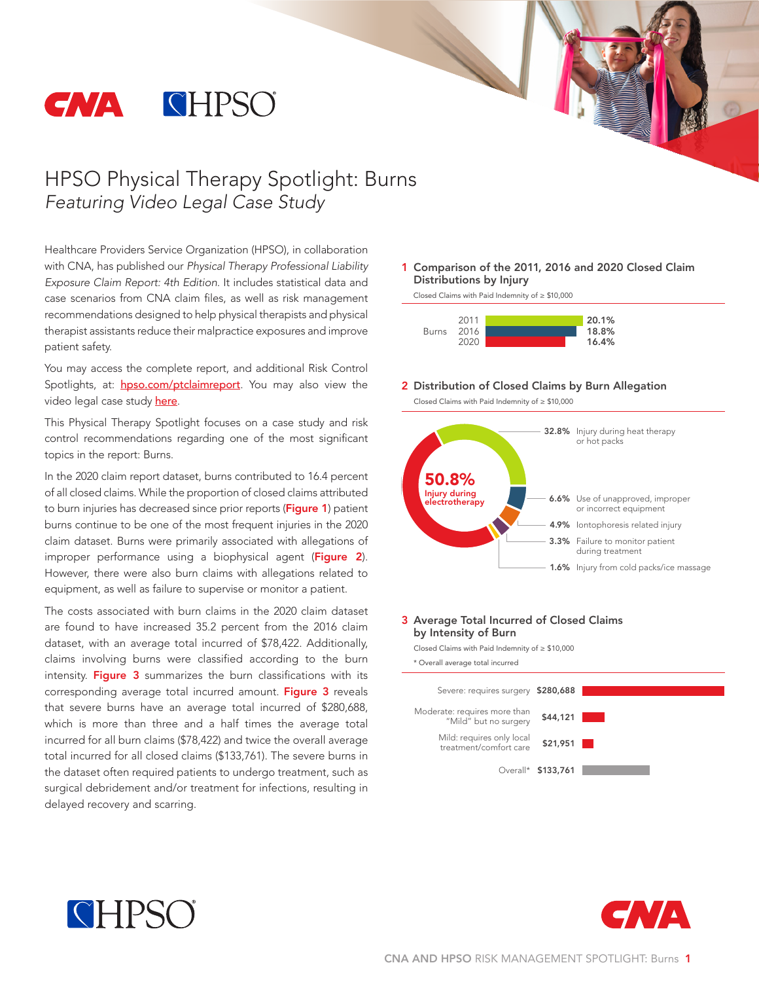

# HPSO Physical Therapy Spotlight: Burns *Featuring Video Legal Case Study*

Healthcare Providers Service Organization (HPSO), in collaboration with CNA, has published our *Physical Therapy Professional Liability Exposure Claim Report: 4th Edition*. It includes statistical data and case scenarios from CNA claim files, as well as risk management recommendations designed to help physical therapists and physical therapist assistants reduce their malpractice exposures and improve patient safety.

You may access the complete report, and additional Risk Control Spotlights, at: **[hpso.com/ptclaimreport](http://www.hpso.com/ptclaimreport)**. You may also view the video legal case study [here](https://youtu.be/ZG7-hcZTSu8).

This Physical Therapy Spotlight focuses on a case study and risk control recommendations regarding one of the most significant topics in the report: Burns.

In the 2020 claim report dataset, burns contributed to 16.4 percent of all closed claims. While the proportion of closed claims attributed to burn injuries has decreased since prior reports (Figure 1) patient burns continue to be one of the most frequent injuries in the 2020 claim dataset. Burns were primarily associated with allegations of improper performance using a biophysical agent (Figure 2). However, there were also burn claims with allegations related to equipment, as well as failure to supervise or monitor a patient.

The costs associated with burn claims in the 2020 claim dataset are found to have increased 35.2 percent from the 2016 claim dataset, with an average total incurred of \$78,422. Additionally, claims involving burns were classified according to the burn intensity. Figure 3 summarizes the burn classifications with its corresponding average total incurred amount. Figure 3 reveals that severe burns have an average total incurred of \$280,688, which is more than three and a half times the average total incurred for all burn claims (\$78,422) and twice the overall average total incurred for all closed claims (\$133,761). The severe burns in the dataset often required patients to undergo treatment, such as surgical debridement and/or treatment for infections, resulting in delayed recovery and scarring.

1 Comparison of the 2011, 2016 and 2020 Closed Claim Distributions by Injury

Closed Claims with Paid Indemnity of ≥ \$10,000



#### 2 Distribution of Closed Claims by Burn Allegation

Closed Claims with Paid Indemnity of ≥ \$10,000



#### 3 Average Total Incurred of Closed Claims by Intensity of Burn

Closed Claims with Paid Indemnity of ≥ \$10,000





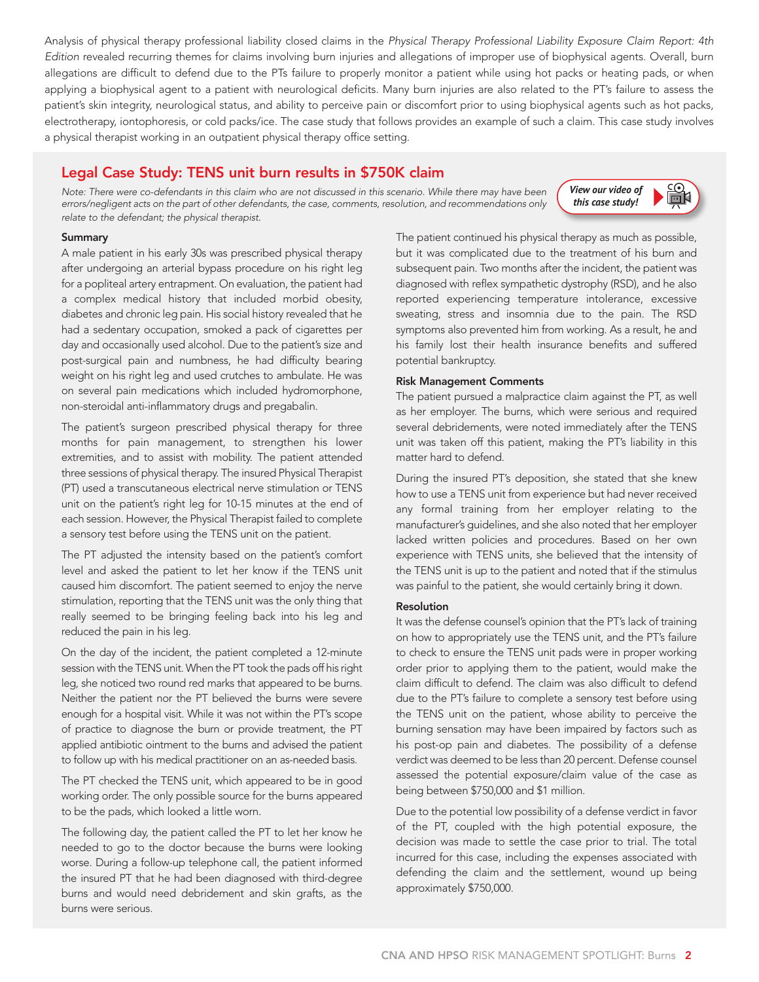Analysis of physical therapy professional liability closed claims in the *Physical Therapy Professional Liability Exposure Claim Report: 4th Edition* revealed recurring themes for claims involving burn injuries and allegations of improper use of biophysical agents. Overall, burn allegations are difficult to defend due to the PTs failure to properly monitor a patient while using hot packs or heating pads, or when applying a biophysical agent to a patient with neurological deficits. Many burn injuries are also related to the PT's failure to assess the patient's skin integrity, neurological status, and ability to perceive pain or discomfort prior to using biophysical agents such as hot packs, electrotherapy, iontophoresis, or cold packs/ice. The case study that follows provides an example of such a claim. This case study involves a physical therapist working in an outpatient physical therapy office setting.

## Legal Case Study: TENS unit burn results in \$750K claim

*Note: There were co-defendants in this claim who are not discussed in this scenario. While there may have been errors/negligent acts on the part of other defendants, the case, comments, resolution, and recommendations only relate to the defendant; the physical therapist*.

 $\mathbb{B}$ *[View our video of](https://youtu.be/ZG7-hcZTSu8)  this case study!*

### Summary

A male patient in his early 30s was prescribed physical therapy after undergoing an arterial bypass procedure on his right leg for a popliteal artery entrapment. On evaluation, the patient had a complex medical history that included morbid obesity, diabetes and chronic leg pain. His social history revealed that he had a sedentary occupation, smoked a pack of cigarettes per day and occasionally used alcohol. Due to the patient's size and post-surgical pain and numbness, he had difficulty bearing weight on his right leg and used crutches to ambulate. He was on several pain medications which included hydromorphone, non-steroidal anti-inflammatory drugs and pregabalin.

The patient's surgeon prescribed physical therapy for three months for pain management, to strengthen his lower extremities, and to assist with mobility. The patient attended three sessions of physical therapy. The insured Physical Therapist (PT) used a transcutaneous electrical nerve stimulation or TENS unit on the patient's right leg for 10-15 minutes at the end of each session. However, the Physical Therapist failed to complete a sensory test before using the TENS unit on the patient.

The PT adjusted the intensity based on the patient's comfort level and asked the patient to let her know if the TENS unit caused him discomfort. The patient seemed to enjoy the nerve stimulation, reporting that the TENS unit was the only thing that really seemed to be bringing feeling back into his leg and reduced the pain in his leg.

On the day of the incident, the patient completed a 12-minute session with the TENS unit. When the PT took the pads off his right leg, she noticed two round red marks that appeared to be burns. Neither the patient nor the PT believed the burns were severe enough for a hospital visit. While it was not within the PT's scope of practice to diagnose the burn or provide treatment, the PT applied antibiotic ointment to the burns and advised the patient to follow up with his medical practitioner on an as-needed basis.

The PT checked the TENS unit, which appeared to be in good working order. The only possible source for the burns appeared to be the pads, which looked a little worn.

The following day, the patient called the PT to let her know he needed to go to the doctor because the burns were looking worse. During a follow-up telephone call, the patient informed the insured PT that he had been diagnosed with third-degree burns and would need debridement and skin grafts, as the burns were serious.

The patient continued his physical therapy as much as possible, but it was complicated due to the treatment of his burn and subsequent pain. Two months after the incident, the patient was diagnosed with reflex sympathetic dystrophy (RSD), and he also reported experiencing temperature intolerance, excessive sweating, stress and insomnia due to the pain. The RSD symptoms also prevented him from working. As a result, he and his family lost their health insurance benefits and suffered potential bankruptcy.

### Risk Management Comments

The patient pursued a malpractice claim against the PT, as well as her employer. The burns, which were serious and required several debridements, were noted immediately after the TENS unit was taken off this patient, making the PT's liability in this matter hard to defend.

During the insured PT's deposition, she stated that she knew how to use a TENS unit from experience but had never received any formal training from her employer relating to the manufacturer's guidelines, and she also noted that her employer lacked written policies and procedures. Based on her own experience with TENS units, she believed that the intensity of the TENS unit is up to the patient and noted that if the stimulus was painful to the patient, she would certainly bring it down.

### Resolution

It was the defense counsel's opinion that the PT's lack of training on how to appropriately use the TENS unit, and the PT's failure to check to ensure the TENS unit pads were in proper working order prior to applying them to the patient, would make the claim difficult to defend. The claim was also difficult to defend due to the PT's failure to complete a sensory test before using the TENS unit on the patient, whose ability to perceive the burning sensation may have been impaired by factors such as his post-op pain and diabetes. The possibility of a defense verdict was deemed to be less than 20 percent. Defense counsel assessed the potential exposure/claim value of the case as being between \$750,000 and \$1 million.

Due to the potential low possibility of a defense verdict in favor of the PT, coupled with the high potential exposure, the decision was made to settle the case prior to trial. The total incurred for this case, including the expenses associated with defending the claim and the settlement, wound up being approximately \$750,000.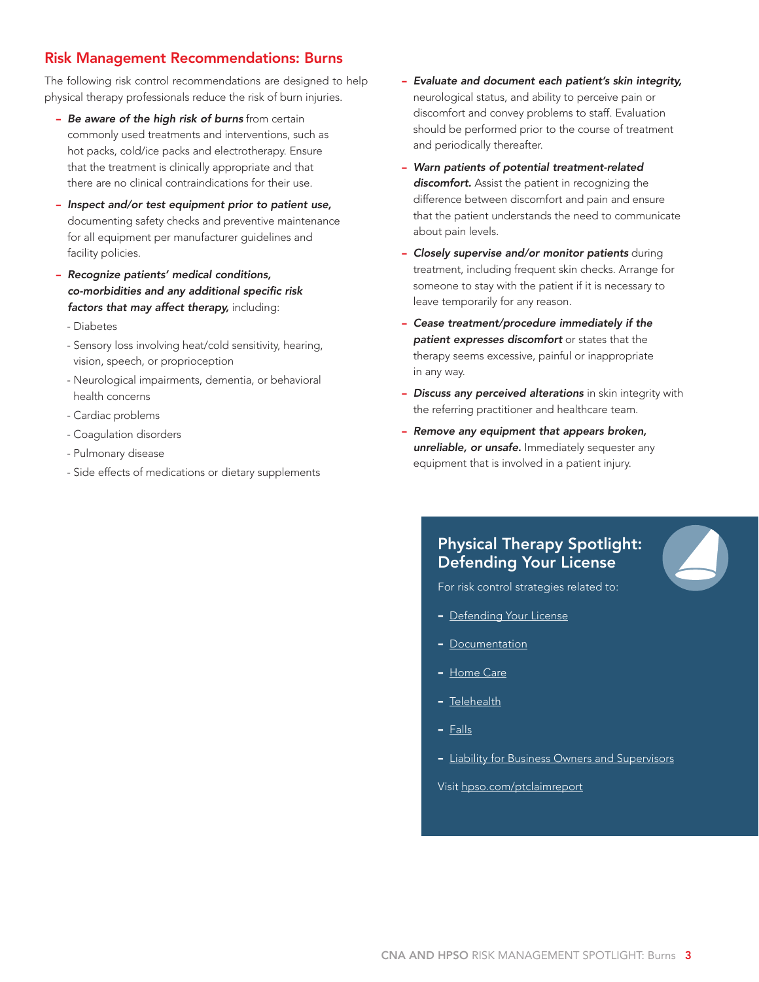### Risk Management Recommendations: Burns

The following risk control recommendations are designed to help physical therapy professionals reduce the risk of burn injuries.

- *Be aware of the high risk of burns* from certain commonly used treatments and interventions, such as hot packs, cold/ice packs and electrotherapy. Ensure that the treatment is clinically appropriate and that there are no clinical contraindications for their use.
- *Inspect and/or test equipment prior to patient use,* documenting safety checks and preventive maintenance for all equipment per manufacturer guidelines and facility policies.
- *Recognize patients' medical conditions, co-morbidities and any additional specific risk factors that may affect therapy,* including:
	- Diabetes
	- Sensory loss involving heat/cold sensitivity, hearing, vision, speech, or proprioception
	- Neurological impairments, dementia, or behavioral health concerns
	- Cardiac problems
	- Coagulation disorders
	- Pulmonary disease
	- Side effects of medications or dietary supplements
- *Evaluate and document each patient's skin integrity,* neurological status, and ability to perceive pain or discomfort and convey problems to staff. Evaluation should be performed prior to the course of treatment and periodically thereafter.
- *Warn patients of potential treatment-related discomfort.* Assist the patient in recognizing the difference between discomfort and pain and ensure that the patient understands the need to communicate about pain levels.
- *Closely supervise and/or monitor patients* during treatment, including frequent skin checks. Arrange for someone to stay with the patient if it is necessary to leave temporarily for any reason.
- *Cease treatment/procedure immediately if the patient expresses discomfort* or states that the therapy seems excessive, painful or inappropriate in any way.
- **Discuss any perceived alterations** in skin integrity with the referring practitioner and healthcare team.
- *Remove any equipment that appears broken, unreliable, or unsafe.* Immediately sequester any equipment that is involved in a patient injury.

# Physical Therapy Spotlight: Defending Your License

For risk control strategies related to:

- [Defending Your License](http://hpso.com/Documents/Risk%20Education/individuals/Claim-Reports/Physical%20Therapist/PT_Spotlight_Protecting%20Your%20License.pdf)
- [Documentation](http://www.hpso.com/ptclaimreport_documentation)
- [Home Care](http://www.hpso.com/ptclaimreport_homecare)
- [Telehealth](http://www.hpso.com/ptclaimreport_telehealth)
- [Falls](http://www.hpso.com/ptclaimreport_falls)
- [Liability for Business Owners and Supervisors](http://www.hpso.com/ptclaimreport_supervisors)

Visit [hpso.com/ptclaimreport](http://www.hpso.com/risk-education/individuals/Physical-Therapist-Claim-Reports)